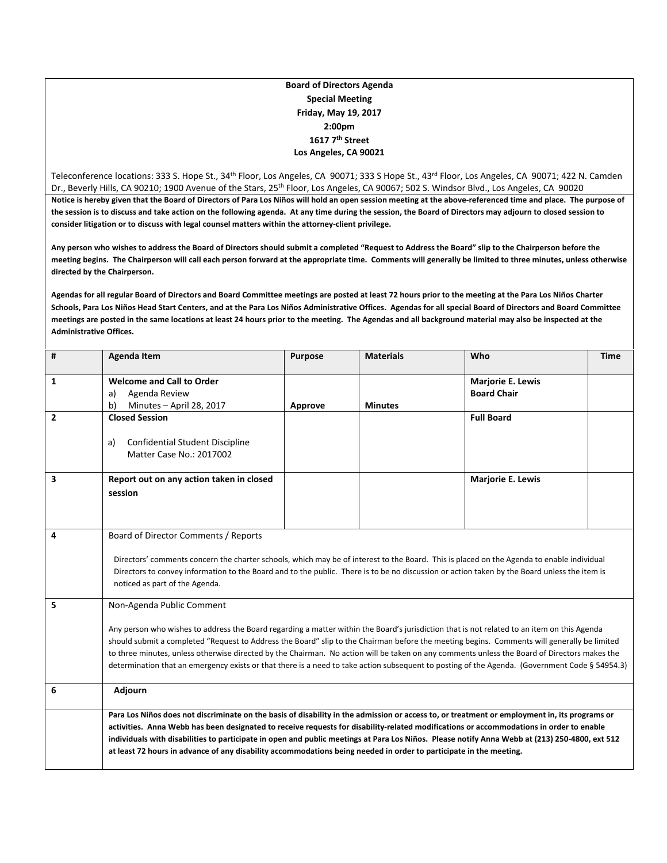#### **Board of Directors Agenda Special Meeting Friday, May 19, 2017 2:00pm 1617 7th Street Los Angeles, CA 90021**

Teleconference locations: 333 S. Hope St., 34<sup>th</sup> Floor, Los Angeles, CA 90071; 333 S Hope St., 43<sup>rd</sup> Floor, Los Angeles, CA 90071; 422 N. Camden Dr., Beverly Hills, CA 90210; 1900 Avenue of the Stars, 25<sup>th</sup> Floor, Los Angeles, CA 90067; 502 S. Windsor Blvd., Los Angeles, CA 90020 Notice is hereby given that the Board of Directors of Para Los Niños will hold an open session meeting at the above-referenced time and place. The purpose of the session is to discuss and take action on the following agenda. At any time during the session, the Board of Directors may adjourn to closed session to **consider litigation or to discuss with legal counsel matters within the attorney‐client privilege.**

Any person who wishes to address the Board of Directors should submit a completed "Request to Address the Board" slip to the Chairperson before the meeting begins. The Chairperson will call each person forward at the appropriate time. Comments will generally be limited to three minutes, unless otherwise **directed by the Chairperson.**

Agendas for all regular Board of Directors and Board Committee meetings are posted at least 72 hours prior to the meeting at the Para Los Niños Charter Schools, Para Los Niños Head Start Centers, and at the Para Los Niños Administrative Offices. Agendas for all special Board of Directors and Board Committee meetings are posted in the same locations at least 24 hours prior to the meeting. The Agendas and all background material may also be inspected at the **Administrative Offices.**

| #                       | <b>Agenda Item</b>                                                                                                                                                                                                                                                                                                                                                                                                                                                                                                                                                                                                        | <b>Purpose</b> | <b>Materials</b> | Who                                            | <b>Time</b> |  |
|-------------------------|---------------------------------------------------------------------------------------------------------------------------------------------------------------------------------------------------------------------------------------------------------------------------------------------------------------------------------------------------------------------------------------------------------------------------------------------------------------------------------------------------------------------------------------------------------------------------------------------------------------------------|----------------|------------------|------------------------------------------------|-------------|--|
| 1                       | <b>Welcome and Call to Order</b><br>Agenda Review<br>a)<br>b)<br>Minutes - April 28, 2017                                                                                                                                                                                                                                                                                                                                                                                                                                                                                                                                 | Approve        | <b>Minutes</b>   | <b>Marjorie E. Lewis</b><br><b>Board Chair</b> |             |  |
| $\overline{2}$          | <b>Closed Session</b><br>a)<br>Confidential Student Discipline<br>Matter Case No.: 2017002                                                                                                                                                                                                                                                                                                                                                                                                                                                                                                                                |                |                  | <b>Full Board</b>                              |             |  |
| $\overline{\mathbf{3}}$ | Report out on any action taken in closed<br>session                                                                                                                                                                                                                                                                                                                                                                                                                                                                                                                                                                       |                |                  | <b>Marjorie E. Lewis</b>                       |             |  |
| 4                       | Board of Director Comments / Reports<br>Directors' comments concern the charter schools, which may be of interest to the Board. This is placed on the Agenda to enable individual<br>Directors to convey information to the Board and to the public. There is to be no discussion or action taken by the Board unless the item is<br>noticed as part of the Agenda.                                                                                                                                                                                                                                                       |                |                  |                                                |             |  |
| 5                       | Non-Agenda Public Comment<br>Any person who wishes to address the Board regarding a matter within the Board's jurisdiction that is not related to an item on this Agenda<br>should submit a completed "Request to Address the Board" slip to the Chairman before the meeting begins. Comments will generally be limited<br>to three minutes, unless otherwise directed by the Chairman. No action will be taken on any comments unless the Board of Directors makes the<br>determination that an emergency exists or that there is a need to take action subsequent to posting of the Agenda. (Government Code § 54954.3) |                |                  |                                                |             |  |
| 6                       | Adjourn                                                                                                                                                                                                                                                                                                                                                                                                                                                                                                                                                                                                                   |                |                  |                                                |             |  |
|                         | Para Los Niños does not discriminate on the basis of disability in the admission or access to, or treatment or employment in, its programs or<br>activities. Anna Webb has been designated to receive requests for disability-related modifications or accommodations in order to enable<br>individuals with disabilities to participate in open and public meetings at Para Los Niños. Please notify Anna Webb at (213) 250-4800, ext 512<br>at least 72 hours in advance of any disability accommodations being needed in order to participate in the meeting.                                                          |                |                  |                                                |             |  |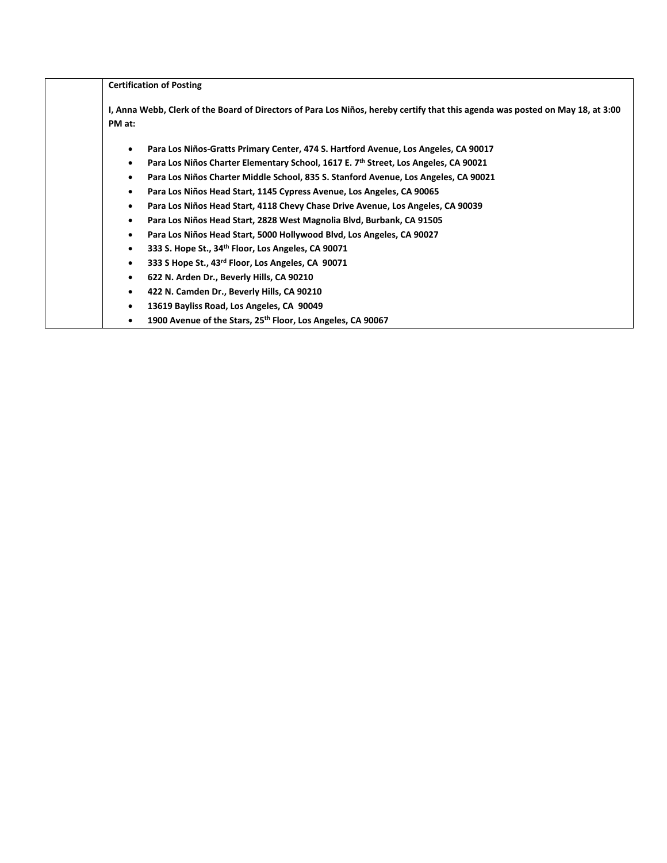|           | <b>Certification of Posting</b>                                                                                                |
|-----------|--------------------------------------------------------------------------------------------------------------------------------|
| PM at:    | I, Anna Webb, Clerk of the Board of Directors of Para Los Niños, hereby certify that this agenda was posted on May 18, at 3:00 |
|           | Para Los Niños-Gratts Primary Center, 474 S. Hartford Avenue, Los Angeles, CA 90017                                            |
|           | Para Los Niños Charter Elementary School, 1617 E. 7th Street, Los Angeles, CA 90021                                            |
|           | Para Los Niños Charter Middle School, 835 S. Stanford Avenue, Los Angeles, CA 90021                                            |
|           | Para Los Niños Head Start, 1145 Cypress Avenue, Los Angeles, CA 90065                                                          |
|           | Para Los Niños Head Start, 4118 Chevy Chase Drive Avenue, Los Angeles, CA 90039                                                |
| ٠         | Para Los Niños Head Start, 2828 West Magnolia Blvd, Burbank, CA 91505                                                          |
|           | Para Los Niños Head Start, 5000 Hollywood Blvd, Los Angeles, CA 90027                                                          |
|           | 333 S. Hope St., 34 <sup>th</sup> Floor, Los Angeles, CA 90071                                                                 |
| $\bullet$ | 333 S Hope St., 43 <sup>rd</sup> Floor, Los Angeles, CA 90071                                                                  |
|           | 622 N. Arden Dr., Beverly Hills, CA 90210                                                                                      |
|           | 422 N. Camden Dr., Beverly Hills, CA 90210                                                                                     |
|           | 13619 Bayliss Road, Los Angeles, CA 90049                                                                                      |
|           | 1900 Avenue of the Stars, 25 <sup>th</sup> Floor, Los Angeles, CA 90067                                                        |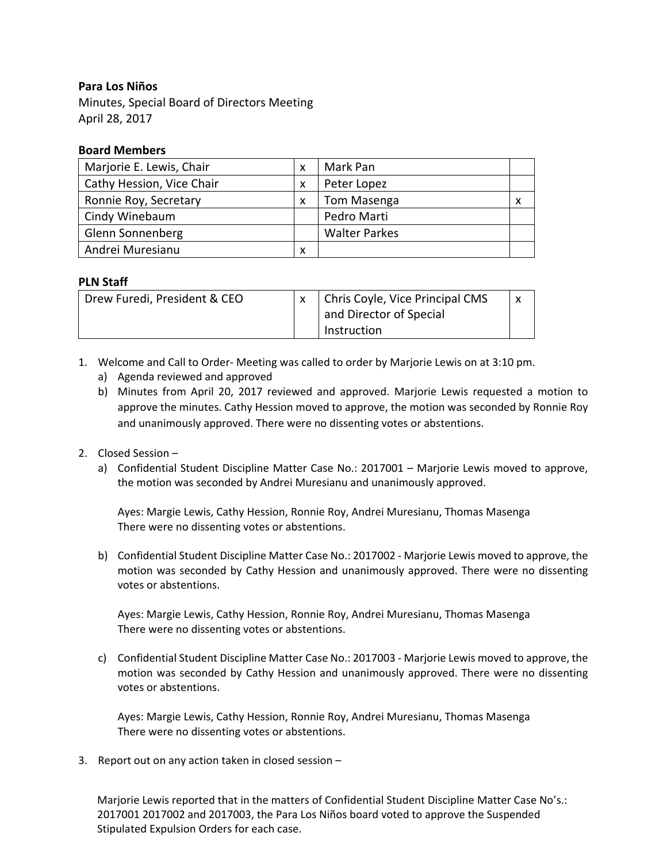# **Para Los Niños**

Minutes, Special Board of Directors Meeting April 28, 2017

## **Board Members**

| Marjorie E. Lewis, Chair  |   | Mark Pan             |   |
|---------------------------|---|----------------------|---|
| Cathy Hession, Vice Chair | X | Peter Lopez          |   |
| Ronnie Roy, Secretary     | X | Tom Masenga          | х |
| Cindy Winebaum            |   | Pedro Marti          |   |
| Glenn Sonnenberg          |   | <b>Walter Parkes</b> |   |
| Andrei Muresianu          | х |                      |   |

## **PLN Staff**

| Drew Furedi, President & CEO |  | Chris Coyle, Vice Principal CMS |  |
|------------------------------|--|---------------------------------|--|
|                              |  | and Director of Special         |  |
|                              |  | Instruction                     |  |

- 1. Welcome and Call to Order‐ Meeting was called to order by Marjorie Lewis on at 3:10 pm.
	- a) Agenda reviewed and approved
	- b) Minutes from April 20, 2017 reviewed and approved. Marjorie Lewis requested a motion to approve the minutes. Cathy Hession moved to approve, the motion was seconded by Ronnie Roy and unanimously approved. There were no dissenting votes or abstentions.

#### 2. Closed Session –

a) Confidential Student Discipline Matter Case No.: 2017001 – Marjorie Lewis moved to approve, the motion was seconded by Andrei Muresianu and unanimously approved.

Ayes: Margie Lewis, Cathy Hession, Ronnie Roy, Andrei Muresianu, Thomas Masenga There were no dissenting votes or abstentions.

b) Confidential Student Discipline Matter Case No.: 2017002 ‐ Marjorie Lewis moved to approve, the motion was seconded by Cathy Hession and unanimously approved. There were no dissenting votes or abstentions.

Ayes: Margie Lewis, Cathy Hession, Ronnie Roy, Andrei Muresianu, Thomas Masenga There were no dissenting votes or abstentions.

c) Confidential Student Discipline Matter Case No.: 2017003 ‐ Marjorie Lewis moved to approve, the motion was seconded by Cathy Hession and unanimously approved. There were no dissenting votes or abstentions.

Ayes: Margie Lewis, Cathy Hession, Ronnie Roy, Andrei Muresianu, Thomas Masenga There were no dissenting votes or abstentions.

3. Report out on any action taken in closed session –

Marjorie Lewis reported that in the matters of Confidential Student Discipline Matter Case No's.: 2017001 2017002 and 2017003, the Para Los Niños board voted to approve the Suspended Stipulated Expulsion Orders for each case.